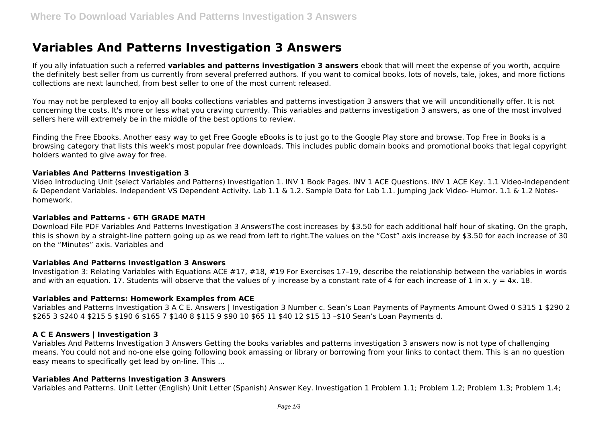# **Variables And Patterns Investigation 3 Answers**

If you ally infatuation such a referred **variables and patterns investigation 3 answers** ebook that will meet the expense of you worth, acquire the definitely best seller from us currently from several preferred authors. If you want to comical books, lots of novels, tale, jokes, and more fictions collections are next launched, from best seller to one of the most current released.

You may not be perplexed to enjoy all books collections variables and patterns investigation 3 answers that we will unconditionally offer. It is not concerning the costs. It's more or less what you craving currently. This variables and patterns investigation 3 answers, as one of the most involved sellers here will extremely be in the middle of the best options to review.

Finding the Free Ebooks. Another easy way to get Free Google eBooks is to just go to the Google Play store and browse. Top Free in Books is a browsing category that lists this week's most popular free downloads. This includes public domain books and promotional books that legal copyright holders wanted to give away for free.

## **Variables And Patterns Investigation 3**

Video Introducing Unit (select Variables and Patterns) Investigation 1. INV 1 Book Pages. INV 1 ACE Questions. INV 1 ACE Key. 1.1 Video-Independent & Dependent Variables. Independent VS Dependent Activity. Lab 1.1 & 1.2. Sample Data for Lab 1.1. Jumping Jack Video- Humor. 1.1 & 1.2 Noteshomework.

## **Variables and Patterns - 6TH GRADE MATH**

Download File PDF Variables And Patterns Investigation 3 AnswersThe cost increases by \$3.50 for each additional half hour of skating. On the graph, this is shown by a straight-line pattern going up as we read from left to right.The values on the "Cost" axis increase by \$3.50 for each increase of 30 on the "Minutes" axis. Variables and

## **Variables And Patterns Investigation 3 Answers**

Investigation 3: Relating Variables with Equations ACE #17, #18, #19 For Exercises 17–19, describe the relationship between the variables in words and with an equation. 17. Students will observe that the values of y increase by a constant rate of 4 for each increase of 1 in x.  $y = 4x$ . 18.

## **Variables and Patterns: Homework Examples from ACE**

Variables and Patterns Investigation 3 A C E. Answers | Investigation 3 Number c. Sean's Loan Payments of Payments Amount Owed 0 \$315 1 \$290 2 \$265 3 \$240 4 \$215 5 \$190 6 \$165 7 \$140 8 \$115 9 \$90 10 \$65 11 \$40 12 \$15 13 –\$10 Sean's Loan Payments d.

# **A C E Answers | Investigation 3**

Variables And Patterns Investigation 3 Answers Getting the books variables and patterns investigation 3 answers now is not type of challenging means. You could not and no-one else going following book amassing or library or borrowing from your links to contact them. This is an no question easy means to specifically get lead by on-line. This ...

## **Variables And Patterns Investigation 3 Answers**

Variables and Patterns. Unit Letter (English) Unit Letter (Spanish) Answer Key. Investigation 1 Problem 1.1; Problem 1.2; Problem 1.3; Problem 1.4;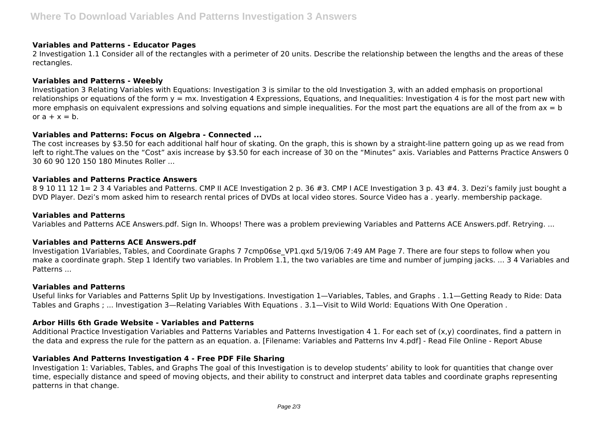## **Variables and Patterns - Educator Pages**

2 Investigation 1.1 Consider all of the rectangles with a perimeter of 20 units. Describe the relationship between the lengths and the areas of these rectangles.

# **Variables and Patterns - Weebly**

Investigation 3 Relating Variables with Equations: Investigation 3 is similar to the old Investigation 3, with an added emphasis on proportional relationships or equations of the form  $y = mx$ . Investigation 4 Expressions, Equations, and Inequalities: Investigation 4 is for the most part new with more emphasis on equivalent expressions and solving equations and simple inequalities. For the most part the equations are all of the from  $ax = b$ or  $a + x = b$ .

## **Variables and Patterns: Focus on Algebra - Connected ...**

The cost increases by \$3.50 for each additional half hour of skating. On the graph, this is shown by a straight-line pattern going up as we read from left to right.The values on the "Cost" axis increase by \$3.50 for each increase of 30 on the "Minutes" axis. Variables and Patterns Practice Answers 0 30 60 90 120 150 180 Minutes Roller ...

## **Variables and Patterns Practice Answers**

8 9 10 11 12 1= 2 3 4 Variables and Patterns. CMP II ACE Investigation 2 p. 36 #3. CMP I ACE Investigation 3 p. 43 #4. 3. Dezi's family just bought a DVD Player. Dezi's mom asked him to research rental prices of DVDs at local video stores. Source Video has a . yearly. membership package.

## **Variables and Patterns**

Variables and Patterns ACE Answers.pdf. Sign In. Whoops! There was a problem previewing Variables and Patterns ACE Answers.pdf. Retrying. ...

# **Variables and Patterns ACE Answers.pdf**

Investigation 1Variables, Tables, and Coordinate Graphs 7 7cmp06se VP1.qxd 5/19/06 7:49 AM Page 7. There are four steps to follow when you make a coordinate graph. Step 1 Identify two variables. In Problem 1.1, the two variables are time and number of jumping jacks. ... 3 4 Variables and **Patterns** 

## **Variables and Patterns**

Useful links for Variables and Patterns Split Up by Investigations. Investigation 1—Variables, Tables, and Graphs . 1.1—Getting Ready to Ride: Data Tables and Graphs ; ... Investigation 3—Relating Variables With Equations . 3.1—Visit to Wild World: Equations With One Operation .

# **Arbor Hills 6th Grade Website - Variables and Patterns**

Additional Practice Investigation Variables and Patterns Variables and Patterns Investigation 4 1. For each set of (x,y) coordinates, find a pattern in the data and express the rule for the pattern as an equation. a. [Filename: Variables and Patterns Inv 4.pdf] - Read File Online - Report Abuse

# **Variables And Patterns Investigation 4 - Free PDF File Sharing**

Investigation 1: Variables, Tables, and Graphs The goal of this Investigation is to develop students' ability to look for quantities that change over time, especially distance and speed of moving objects, and their ability to construct and interpret data tables and coordinate graphs representing patterns in that change.